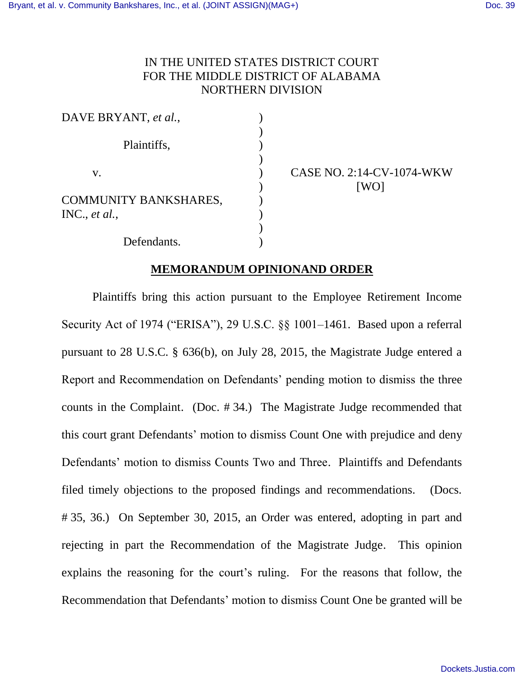# IN THE UNITED STATES DISTRICT COURT FOR THE MIDDLE DISTRICT OF ALABAMA NORTHERN DIVISION

| DAVE BRYANT, et al.,                          |  |
|-----------------------------------------------|--|
| Plaintiffs,                                   |  |
| V.                                            |  |
| <b>COMMUNITY BANKSHARES,</b><br>INC., et al., |  |
| Defendants.                                   |  |

CASE NO. 2:14-CV-1074-WKW [WO]

# **MEMORANDUM OPINIONAND ORDER**

Plaintiffs bring this action pursuant to the Employee Retirement Income Security Act of 1974 ("ERISA"), 29 U.S.C. §§ 1001–1461. Based upon a referral pursuant to 28 U.S.C. § 636(b), on July 28, 2015, the Magistrate Judge entered a Report and Recommendation on Defendants' pending motion to dismiss the three counts in the Complaint. (Doc. # 34.) The Magistrate Judge recommended that this court grant Defendants' motion to dismiss Count One with prejudice and deny Defendants' motion to dismiss Counts Two and Three. Plaintiffs and Defendants filed timely objections to the proposed findings and recommendations. (Docs. # 35, 36.) On September 30, 2015, an Order was entered, adopting in part and rejecting in part the Recommendation of the Magistrate Judge. This opinion explains the reasoning for the court's ruling. For the reasons that follow, the Recommendation that Defendants' motion to dismiss Count One be granted will be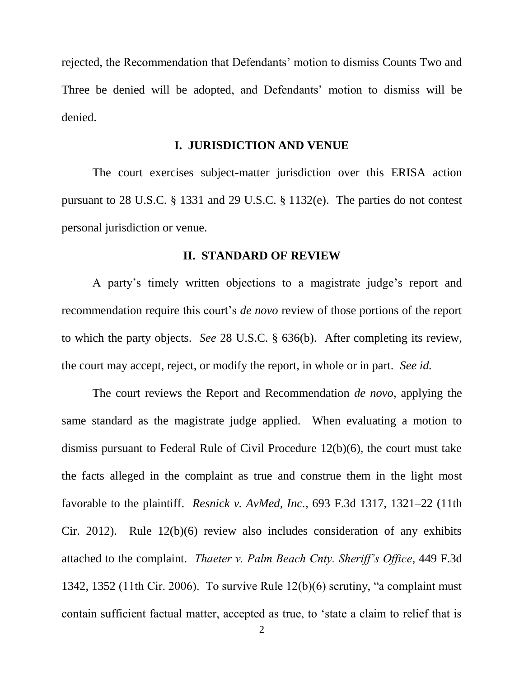rejected, the Recommendation that Defendants' motion to dismiss Counts Two and Three be denied will be adopted, and Defendants' motion to dismiss will be denied.

#### **I. JURISDICTION AND VENUE**

The court exercises subject-matter jurisdiction over this ERISA action pursuant to 28 U.S.C. § 1331 and 29 U.S.C. § 1132(e). The parties do not contest personal jurisdiction or venue.

#### **II. STANDARD OF REVIEW**

A party's timely written objections to a magistrate judge's report and recommendation require this court's *de novo* review of those portions of the report to which the party objects. *See* 28 U.S.C. § 636(b). After completing its review, the court may accept, reject, or modify the report, in whole or in part. *See id.*

The court reviews the Report and Recommendation *de novo*, applying the same standard as the magistrate judge applied. When evaluating a motion to dismiss pursuant to Federal Rule of Civil Procedure 12(b)(6), the court must take the facts alleged in the complaint as true and construe them in the light most favorable to the plaintiff. *Resnick v. AvMed, Inc.*, 693 F.3d 1317, 1321–22 (11th Cir. 2012). Rule 12(b)(6) review also includes consideration of any exhibits attached to the complaint. *Thaeter v. Palm Beach Cnty. Sheriff's Office*, 449 F.3d 1342, 1352 (11th Cir. 2006). To survive Rule 12(b)(6) scrutiny, "a complaint must contain sufficient factual matter, accepted as true, to 'state a claim to relief that is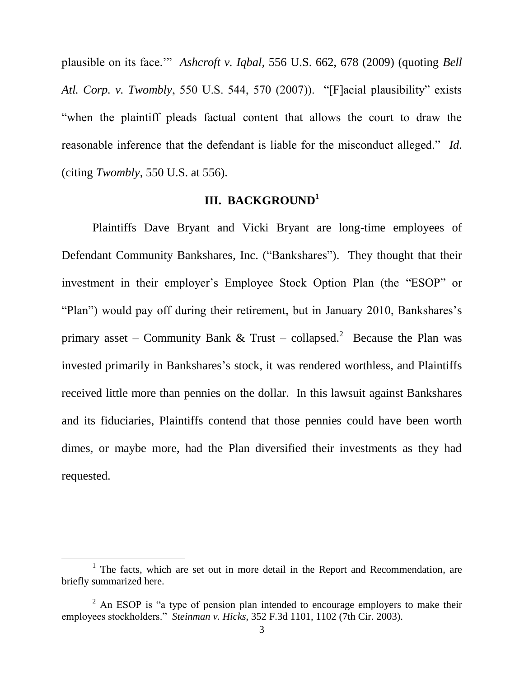plausible on its face.'" *Ashcroft v. Iqbal*, 556 U.S. 662, 678 (2009) (quoting *Bell Atl. Corp. v. Twombly*, 550 U.S. 544, 570 (2007)). "[F]acial plausibility" exists "when the plaintiff pleads factual content that allows the court to draw the reasonable inference that the defendant is liable for the misconduct alleged." *Id.* (citing *Twombly*, 550 U.S. at 556).

# **III. BACKGROUND<sup>1</sup>**

Plaintiffs Dave Bryant and Vicki Bryant are long-time employees of Defendant Community Bankshares, Inc. ("Bankshares"). They thought that their investment in their employer's Employee Stock Option Plan (the "ESOP" or "Plan") would pay off during their retirement, but in January 2010, Bankshares's primary asset – Community Bank & Trust – collapsed.<sup>2</sup> Because the Plan was invested primarily in Bankshares's stock, it was rendered worthless, and Plaintiffs received little more than pennies on the dollar. In this lawsuit against Bankshares and its fiduciaries, Plaintiffs contend that those pennies could have been worth dimes, or maybe more, had the Plan diversified their investments as they had requested.

 $\overline{\phantom{a}}$ 

<sup>&</sup>lt;sup>1</sup> The facts, which are set out in more detail in the Report and Recommendation, are briefly summarized here.

 $2$  An ESOP is "a type of pension plan intended to encourage employers to make their employees stockholders." *Steinman v. Hicks*, 352 F.3d 1101, 1102 (7th Cir. 2003).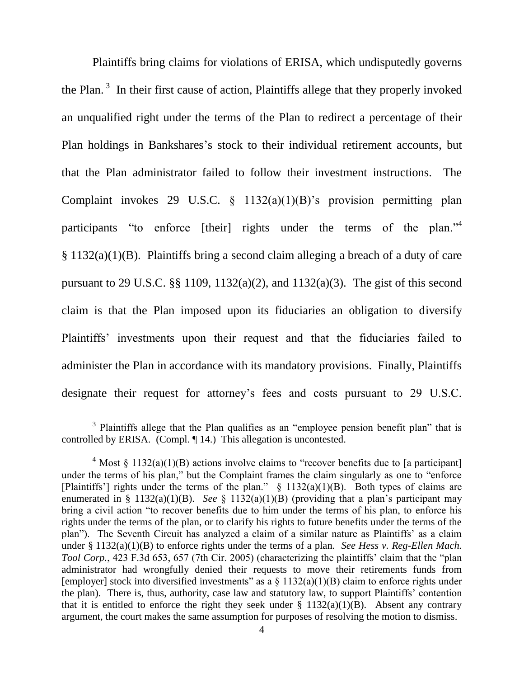Plaintiffs bring claims for violations of ERISA, which undisputedly governs the Plan.<sup>3</sup> In their first cause of action, Plaintiffs allege that they properly invoked an unqualified right under the terms of the Plan to redirect a percentage of their Plan holdings in Bankshares's stock to their individual retirement accounts, but that the Plan administrator failed to follow their investment instructions. The Complaint invokes 29 U.S.C. § 1132(a)(1)(B)'s provision permitting plan participants "to enforce [their] rights under the terms of the plan."<sup>4</sup> § 1132(a)(1)(B). Plaintiffs bring a second claim alleging a breach of a duty of care pursuant to 29 U.S.C. §§ 1109, 1132(a)(2), and 1132(a)(3). The gist of this second claim is that the Plan imposed upon its fiduciaries an obligation to diversify Plaintiffs' investments upon their request and that the fiduciaries failed to administer the Plan in accordance with its mandatory provisions. Finally, Plaintiffs designate their request for attorney's fees and costs pursuant to 29 U.S.C.

 $\overline{\phantom{a}}$ 

<sup>&</sup>lt;sup>3</sup> Plaintiffs allege that the Plan qualifies as an "employee pension benefit plan" that is controlled by ERISA. (Compl. ¶ 14.) This allegation is uncontested.

<sup>&</sup>lt;sup>4</sup> Most  $\frac{132(a)(1)(B)}{B}$  actions involve claims to "recover benefits due to [a participant] under the terms of his plan," but the Complaint frames the claim singularly as one to "enforce [Plaintiffs'] rights under the terms of the plan."  $\frac{132(a)(1)(B)}{B}$ . Both types of claims are enumerated in § 1132(a)(1)(B). *See* § 1132(a)(1)(B) (providing that a plan's participant may bring a civil action "to recover benefits due to him under the terms of his plan, to enforce his rights under the terms of the plan, or to clarify his rights to future benefits under the terms of the plan"). The Seventh Circuit has analyzed a claim of a similar nature as Plaintiffs' as a claim under § 1132(a)(1)(B) to enforce rights under the terms of a plan. *See Hess v. Reg-Ellen Mach. Tool Corp.*, 423 F.3d 653, 657 (7th Cir. 2005) (characterizing the plaintiffs' claim that the "plan administrator had wrongfully denied their requests to move their retirements funds from [employer] stock into diversified investments" as a  $\S$  1132(a)(1)(B) claim to enforce rights under the plan). There is, thus, authority, case law and statutory law, to support Plaintiffs' contention that it is entitled to enforce the right they seek under  $\S$  1132(a)(1)(B). Absent any contrary argument, the court makes the same assumption for purposes of resolving the motion to dismiss.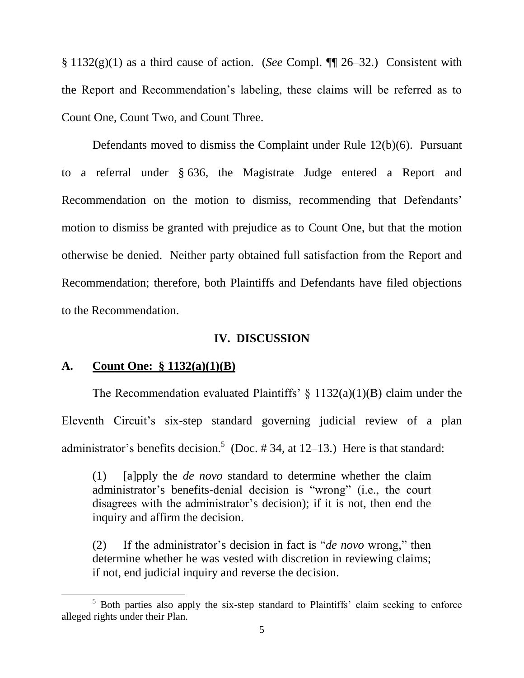§ 1132(g)(1) as a third cause of action. (*See* Compl. ¶¶ 26–32.) Consistent with the Report and Recommendation's labeling, these claims will be referred as to Count One, Count Two, and Count Three.

Defendants moved to dismiss the Complaint under Rule 12(b)(6). Pursuant to a referral under § 636, the Magistrate Judge entered a Report and Recommendation on the motion to dismiss, recommending that Defendants' motion to dismiss be granted with prejudice as to Count One, but that the motion otherwise be denied. Neither party obtained full satisfaction from the Report and Recommendation; therefore, both Plaintiffs and Defendants have filed objections to the Recommendation.

### **IV. DISCUSSION**

### **A. Count One: § 1132(a)(1)(B)**

 $\overline{\phantom{a}}$ 

The Recommendation evaluated Plaintiffs'  $\S$  1132(a)(1)(B) claim under the Eleventh Circuit's six-step standard governing judicial review of a plan administrator's benefits decision.<sup>5</sup> (Doc. #34, at 12–13.) Here is that standard:

(1) [a]pply the *de novo* standard to determine whether the claim administrator's benefits-denial decision is "wrong" (i.e., the court disagrees with the administrator's decision); if it is not, then end the inquiry and affirm the decision.

(2) If the administrator's decision in fact is "*de novo* wrong," then determine whether he was vested with discretion in reviewing claims; if not, end judicial inquiry and reverse the decision.

<sup>&</sup>lt;sup>5</sup> Both parties also apply the six-step standard to Plaintiffs' claim seeking to enforce alleged rights under their Plan.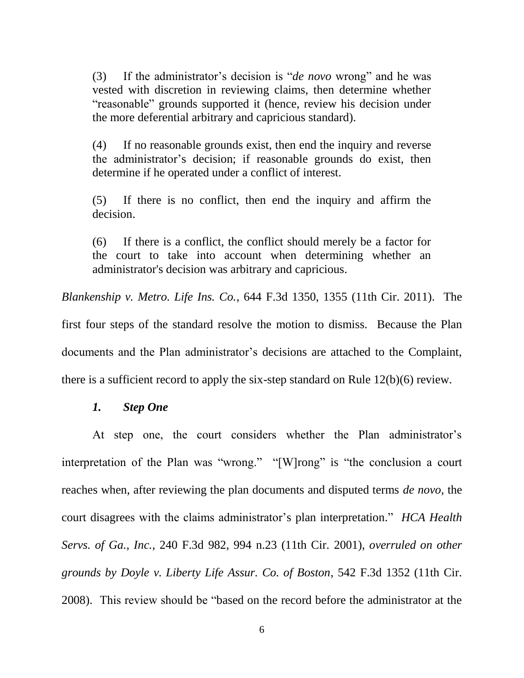(3) If the administrator's decision is "*de novo* wrong" and he was vested with discretion in reviewing claims, then determine whether "reasonable" grounds supported it (hence, review his decision under the more deferential arbitrary and capricious standard).

(4) If no reasonable grounds exist, then end the inquiry and reverse the administrator's decision; if reasonable grounds do exist, then determine if he operated under a conflict of interest.

(5) If there is no conflict, then end the inquiry and affirm the decision.

(6) If there is a conflict, the conflict should merely be a factor for the court to take into account when determining whether an administrator's decision was arbitrary and capricious.

*Blankenship v. Metro. Life Ins. Co.*, 644 F.3d 1350, 1355 (11th Cir. 2011). The

first four steps of the standard resolve the motion to dismiss. Because the Plan documents and the Plan administrator's decisions are attached to the Complaint, there is a sufficient record to apply the six-step standard on Rule 12(b)(6) review.

## *1. Step One*

At step one, the court considers whether the Plan administrator's interpretation of the Plan was "wrong." "[W]rong" is "the conclusion a court reaches when, after reviewing the plan documents and disputed terms *de novo*, the court disagrees with the claims administrator's plan interpretation." *HCA Health Servs. of Ga., Inc.*, 240 F.3d 982, 994 n.23 (11th Cir. 2001), *overruled on other grounds by Doyle v. Liberty Life Assur. Co. of Boston*, 542 F.3d 1352 (11th Cir. 2008). This review should be "based on the record before the administrator at the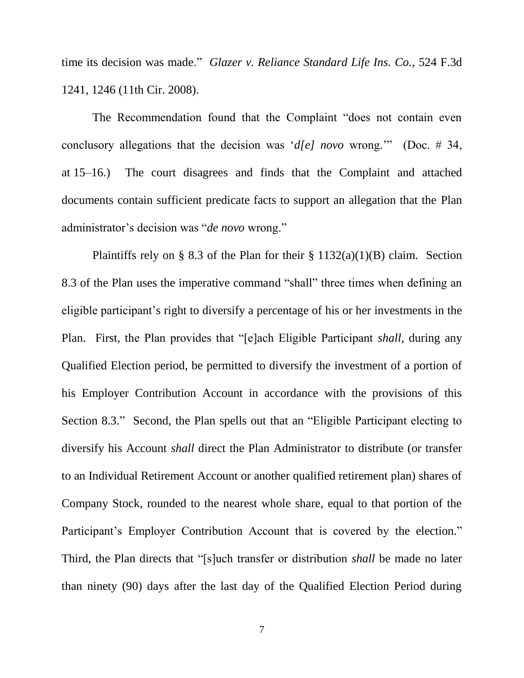time its decision was made." *Glazer v. Reliance Standard Life Ins. Co.*, 524 F.3d 1241, 1246 (11th Cir. 2008).

The Recommendation found that the Complaint "does not contain even conclusory allegations that the decision was '*d[e] novo* wrong.'" (Doc. # 34, at 15–16.) The court disagrees and finds that the Complaint and attached documents contain sufficient predicate facts to support an allegation that the Plan administrator's decision was "*de novo* wrong."

Plaintiffs rely on § 8.3 of the Plan for their §  $1132(a)(1)(B)$  claim. Section 8.3 of the Plan uses the imperative command "shall" three times when defining an eligible participant's right to diversify a percentage of his or her investments in the Plan. First, the Plan provides that "[e]ach Eligible Participant *shall*, during any Qualified Election period, be permitted to diversify the investment of a portion of his Employer Contribution Account in accordance with the provisions of this Section 8.3." Second, the Plan spells out that an "Eligible Participant electing to diversify his Account *shall* direct the Plan Administrator to distribute (or transfer to an Individual Retirement Account or another qualified retirement plan) shares of Company Stock, rounded to the nearest whole share, equal to that portion of the Participant's Employer Contribution Account that is covered by the election." Third, the Plan directs that "[s]uch transfer or distribution *shall* be made no later than ninety (90) days after the last day of the Qualified Election Period during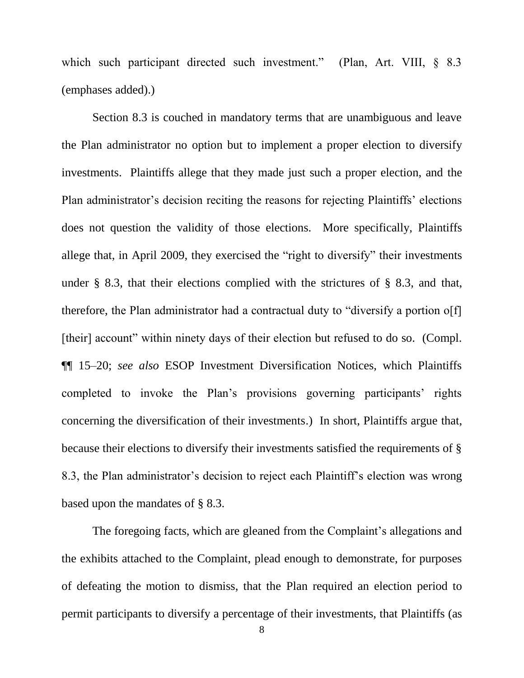which such participant directed such investment." (Plan, Art. VIII,  $\delta$  8.3 (emphases added).)

Section 8.3 is couched in mandatory terms that are unambiguous and leave the Plan administrator no option but to implement a proper election to diversify investments. Plaintiffs allege that they made just such a proper election, and the Plan administrator's decision reciting the reasons for rejecting Plaintiffs' elections does not question the validity of those elections. More specifically, Plaintiffs allege that, in April 2009, they exercised the "right to diversify" their investments under § 8.3, that their elections complied with the strictures of § 8.3, and that, therefore, the Plan administrator had a contractual duty to "diversify a portion o[f] [their] account" within ninety days of their election but refused to do so. (Compl. ¶¶ 15–20; *see also* ESOP Investment Diversification Notices, which Plaintiffs completed to invoke the Plan's provisions governing participants' rights concerning the diversification of their investments.) In short, Plaintiffs argue that, because their elections to diversify their investments satisfied the requirements of § 8.3, the Plan administrator's decision to reject each Plaintiff's election was wrong based upon the mandates of § 8.3.

The foregoing facts, which are gleaned from the Complaint's allegations and the exhibits attached to the Complaint, plead enough to demonstrate, for purposes of defeating the motion to dismiss, that the Plan required an election period to permit participants to diversify a percentage of their investments, that Plaintiffs (as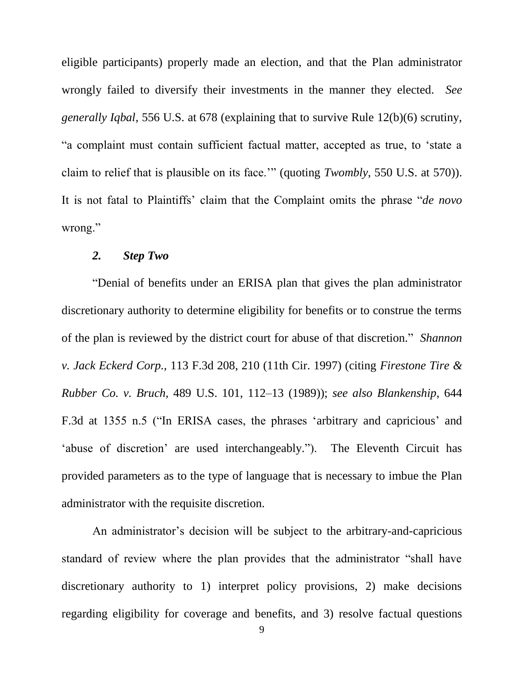eligible participants) properly made an election, and that the Plan administrator wrongly failed to diversify their investments in the manner they elected. *See generally Iqbal*, 556 U.S. at 678 (explaining that to survive Rule 12(b)(6) scrutiny, "a complaint must contain sufficient factual matter, accepted as true, to 'state a claim to relief that is plausible on its face.'" (quoting *Twombly*, 550 U.S. at 570)). It is not fatal to Plaintiffs' claim that the Complaint omits the phrase "*de novo* wrong."

# *2. Step Two*

"Denial of benefits under an ERISA plan that gives the plan administrator discretionary authority to determine eligibility for benefits or to construe the terms of the plan is reviewed by the district court for abuse of that discretion." *Shannon v. Jack Eckerd Corp.*, 113 F.3d 208, 210 (11th Cir. 1997) (citing *Firestone Tire & Rubber Co. v. Bruch*, 489 U.S. 101, 112–13 (1989)); *see also Blankenship*, 644 F.3d at 1355 n.5 ("In ERISA cases, the phrases 'arbitrary and capricious' and 'abuse of discretion' are used interchangeably."). The Eleventh Circuit has provided parameters as to the type of language that is necessary to imbue the Plan administrator with the requisite discretion.

An administrator's decision will be subject to the arbitrary-and-capricious standard of review where the plan provides that the administrator "shall have discretionary authority to 1) interpret policy provisions, 2) make decisions regarding eligibility for coverage and benefits, and 3) resolve factual questions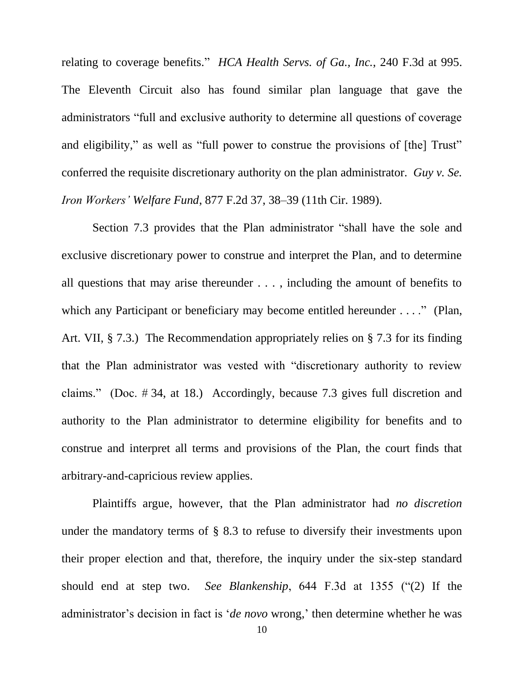relating to coverage benefits." *HCA Health Servs. of Ga., Inc.*, 240 F.3d at 995. The Eleventh Circuit also has found similar plan language that gave the administrators "full and exclusive authority to determine all questions of coverage and eligibility," as well as "full power to construe the provisions of [the] Trust" conferred the requisite discretionary authority on the plan administrator. *Guy v. Se. Iron Workers' Welfare Fund*, 877 F.2d 37, 38–39 (11th Cir. 1989).

Section 7.3 provides that the Plan administrator "shall have the sole and exclusive discretionary power to construe and interpret the Plan, and to determine all questions that may arise thereunder . . . , including the amount of benefits to which any Participant or beneficiary may become entitled hereunder . . . ." (Plan, Art. VII, § 7.3.) The Recommendation appropriately relies on § 7.3 for its finding that the Plan administrator was vested with "discretionary authority to review claims." (Doc. # 34, at 18.) Accordingly, because 7.3 gives full discretion and authority to the Plan administrator to determine eligibility for benefits and to construe and interpret all terms and provisions of the Plan, the court finds that arbitrary-and-capricious review applies.

Plaintiffs argue, however, that the Plan administrator had *no discretion* under the mandatory terms of § 8.3 to refuse to diversify their investments upon their proper election and that, therefore, the inquiry under the six-step standard should end at step two. *See Blankenship*, 644 F.3d at 1355 ("(2) If the administrator's decision in fact is '*de novo* wrong,' then determine whether he was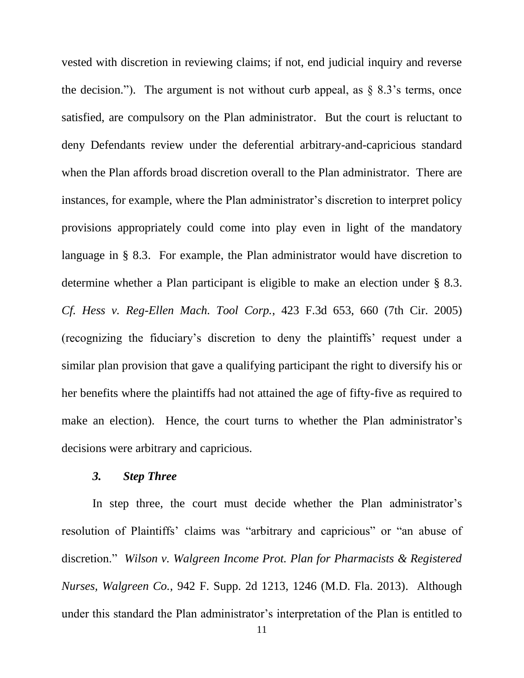vested with discretion in reviewing claims; if not, end judicial inquiry and reverse the decision."). The argument is not without curb appeal, as  $\S 8.3$ 's terms, once satisfied, are compulsory on the Plan administrator. But the court is reluctant to deny Defendants review under the deferential arbitrary-and-capricious standard when the Plan affords broad discretion overall to the Plan administrator. There are instances, for example, where the Plan administrator's discretion to interpret policy provisions appropriately could come into play even in light of the mandatory language in § 8.3. For example, the Plan administrator would have discretion to determine whether a Plan participant is eligible to make an election under § 8.3. *Cf. Hess v. Reg-Ellen Mach. Tool Corp.*, 423 F.3d 653, 660 (7th Cir. 2005) (recognizing the fiduciary's discretion to deny the plaintiffs' request under a similar plan provision that gave a qualifying participant the right to diversify his or her benefits where the plaintiffs had not attained the age of fifty-five as required to make an election). Hence, the court turns to whether the Plan administrator's decisions were arbitrary and capricious.

# *3. Step Three*

In step three, the court must decide whether the Plan administrator's resolution of Plaintiffs' claims was "arbitrary and capricious" or "an abuse of discretion." *Wilson v. Walgreen Income Prot. Plan for Pharmacists & Registered Nurses, Walgreen Co.*, 942 F. Supp. 2d 1213, 1246 (M.D. Fla. 2013). Although under this standard the Plan administrator's interpretation of the Plan is entitled to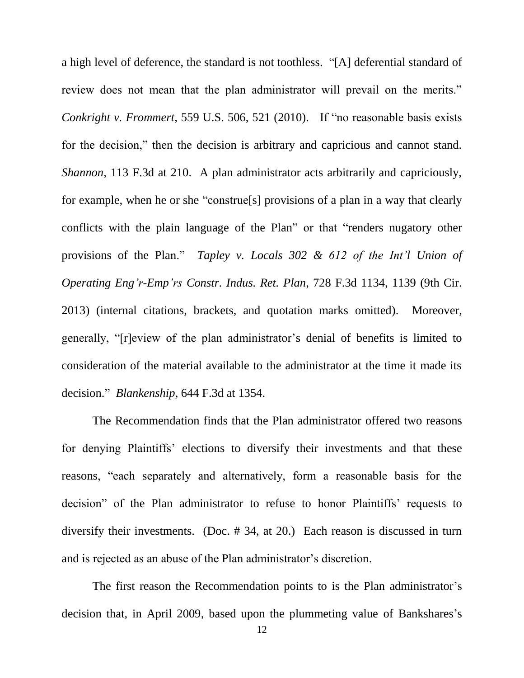a high level of deference, the standard is not toothless. "[A] deferential standard of review does not mean that the plan administrator will prevail on the merits." *Conkright v. Frommert*, 559 U.S. 506, 521 (2010). If "no reasonable basis exists for the decision," then the decision is arbitrary and capricious and cannot stand. *Shannon*, 113 F.3d at 210. A plan administrator acts arbitrarily and capriciously, for example, when he or she "construe[s] provisions of a plan in a way that clearly conflicts with the plain language of the Plan" or that "renders nugatory other provisions of the Plan." *Tapley v. Locals 302 & 612 of the Int'l Union of Operating Eng'r-Emp'rs Constr. Indus. Ret. Plan*, 728 F.3d 1134, 1139 (9th Cir. 2013) (internal citations, brackets, and quotation marks omitted). Moreover, generally, "[r]eview of the plan administrator's denial of benefits is limited to consideration of the material available to the administrator at the time it made its decision." *Blankenship*, 644 F.3d at 1354.

The Recommendation finds that the Plan administrator offered two reasons for denying Plaintiffs' elections to diversify their investments and that these reasons, "each separately and alternatively, form a reasonable basis for the decision" of the Plan administrator to refuse to honor Plaintiffs' requests to diversify their investments. (Doc. # 34, at 20.) Each reason is discussed in turn and is rejected as an abuse of the Plan administrator's discretion.

The first reason the Recommendation points to is the Plan administrator's decision that, in April 2009, based upon the plummeting value of Bankshares's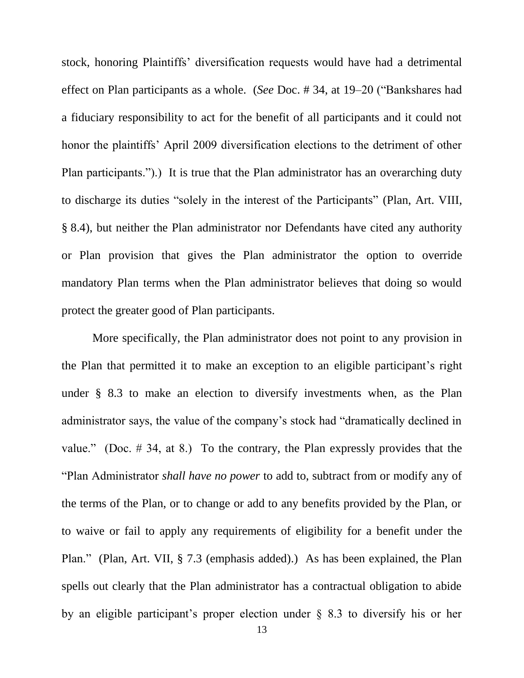stock, honoring Plaintiffs' diversification requests would have had a detrimental effect on Plan participants as a whole. (*See* Doc. # 34, at 19–20 ("Bankshares had a fiduciary responsibility to act for the benefit of all participants and it could not honor the plaintiffs' April 2009 diversification elections to the detriment of other Plan participants.").) It is true that the Plan administrator has an overarching duty to discharge its duties "solely in the interest of the Participants" (Plan, Art. VIII, § 8.4), but neither the Plan administrator nor Defendants have cited any authority or Plan provision that gives the Plan administrator the option to override mandatory Plan terms when the Plan administrator believes that doing so would protect the greater good of Plan participants.

More specifically, the Plan administrator does not point to any provision in the Plan that permitted it to make an exception to an eligible participant's right under § 8.3 to make an election to diversify investments when, as the Plan administrator says, the value of the company's stock had "dramatically declined in value." (Doc. # 34, at 8.) To the contrary, the Plan expressly provides that the "Plan Administrator *shall have no power* to add to, subtract from or modify any of the terms of the Plan, or to change or add to any benefits provided by the Plan, or to waive or fail to apply any requirements of eligibility for a benefit under the Plan." (Plan, Art. VII, § 7.3 (emphasis added).) As has been explained, the Plan spells out clearly that the Plan administrator has a contractual obligation to abide by an eligible participant's proper election under § 8.3 to diversify his or her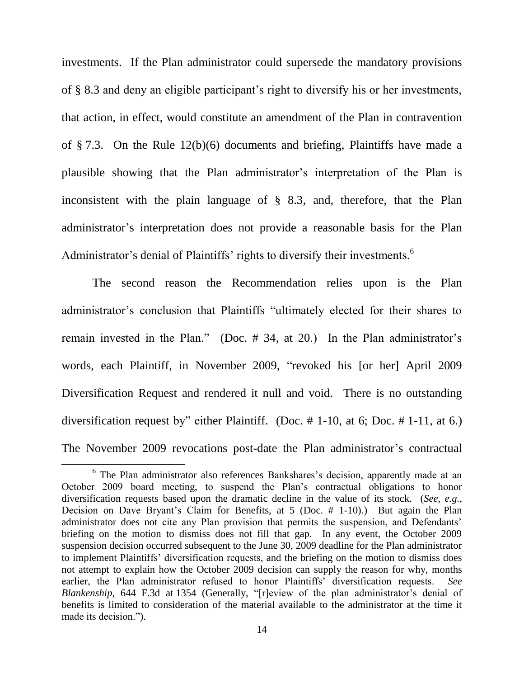investments. If the Plan administrator could supersede the mandatory provisions of § 8.3 and deny an eligible participant's right to diversify his or her investments, that action, in effect, would constitute an amendment of the Plan in contravention of § 7.3. On the Rule 12(b)(6) documents and briefing, Plaintiffs have made a plausible showing that the Plan administrator's interpretation of the Plan is inconsistent with the plain language of § 8.3, and, therefore, that the Plan administrator's interpretation does not provide a reasonable basis for the Plan Administrator's denial of Plaintiffs' rights to diversify their investments.<sup>6</sup>

The second reason the Recommendation relies upon is the Plan administrator's conclusion that Plaintiffs "ultimately elected for their shares to remain invested in the Plan." (Doc. # 34, at 20.) In the Plan administrator's words, each Plaintiff, in November 2009, "revoked his [or her] April 2009 Diversification Request and rendered it null and void. There is no outstanding diversification request by" either Plaintiff. (Doc. # 1-10, at 6; Doc. # 1-11, at 6.) The November 2009 revocations post-date the Plan administrator's contractual

 $\overline{a}$ 

<sup>&</sup>lt;sup>6</sup> The Plan administrator also references Bankshares's decision, apparently made at an October 2009 board meeting, to suspend the Plan's contractual obligations to honor diversification requests based upon the dramatic decline in the value of its stock. (*See, e.g.*, Decision on Dave Bryant's Claim for Benefits, at 5 (Doc. # 1-10).) But again the Plan administrator does not cite any Plan provision that permits the suspension, and Defendants' briefing on the motion to dismiss does not fill that gap. In any event, the October 2009 suspension decision occurred subsequent to the June 30, 2009 deadline for the Plan administrator to implement Plaintiffs' diversification requests, and the briefing on the motion to dismiss does not attempt to explain how the October 2009 decision can supply the reason for why, months earlier, the Plan administrator refused to honor Plaintiffs' diversification requests. *See Blankenship*, 644 F.3d at 1354 (Generally, "[r]eview of the plan administrator's denial of benefits is limited to consideration of the material available to the administrator at the time it made its decision.").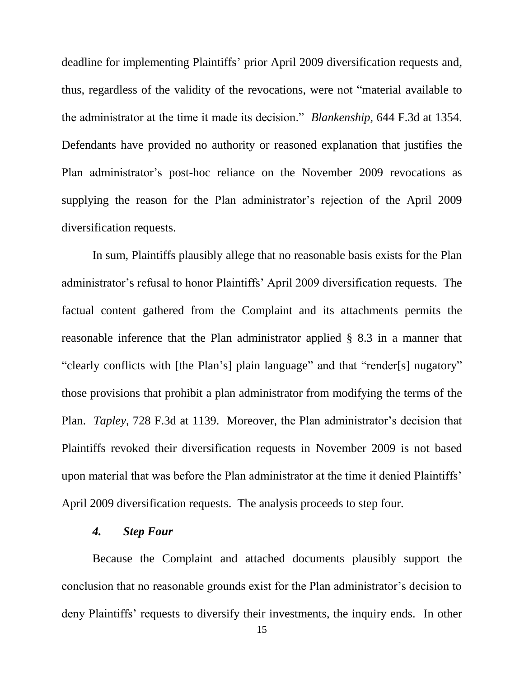deadline for implementing Plaintiffs' prior April 2009 diversification requests and, thus, regardless of the validity of the revocations, were not "material available to the administrator at the time it made its decision." *Blankenship*, 644 F.3d at 1354. Defendants have provided no authority or reasoned explanation that justifies the Plan administrator's post-hoc reliance on the November 2009 revocations as supplying the reason for the Plan administrator's rejection of the April 2009 diversification requests.

In sum, Plaintiffs plausibly allege that no reasonable basis exists for the Plan administrator's refusal to honor Plaintiffs' April 2009 diversification requests. The factual content gathered from the Complaint and its attachments permits the reasonable inference that the Plan administrator applied § 8.3 in a manner that "clearly conflicts with [the Plan's] plain language" and that "render[s] nugatory" those provisions that prohibit a plan administrator from modifying the terms of the Plan. *Tapley*, 728 F.3d at 1139. Moreover, the Plan administrator's decision that Plaintiffs revoked their diversification requests in November 2009 is not based upon material that was before the Plan administrator at the time it denied Plaintiffs' April 2009 diversification requests. The analysis proceeds to step four.

### *4. Step Four*

Because the Complaint and attached documents plausibly support the conclusion that no reasonable grounds exist for the Plan administrator's decision to deny Plaintiffs' requests to diversify their investments, the inquiry ends. In other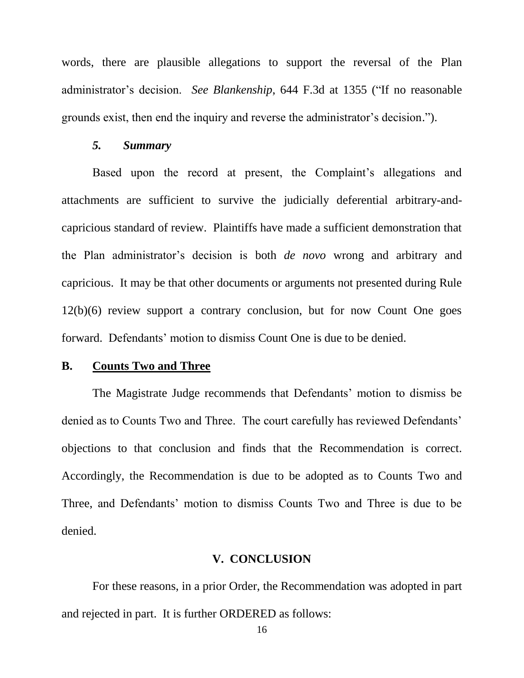words, there are plausible allegations to support the reversal of the Plan administrator's decision. *See Blankenship*, 644 F.3d at 1355 ("If no reasonable grounds exist, then end the inquiry and reverse the administrator's decision.").

### *5. Summary*

Based upon the record at present, the Complaint's allegations and attachments are sufficient to survive the judicially deferential arbitrary-andcapricious standard of review. Plaintiffs have made a sufficient demonstration that the Plan administrator's decision is both *de novo* wrong and arbitrary and capricious. It may be that other documents or arguments not presented during Rule 12(b)(6) review support a contrary conclusion, but for now Count One goes forward. Defendants' motion to dismiss Count One is due to be denied.

### **B. Counts Two and Three**

The Magistrate Judge recommends that Defendants' motion to dismiss be denied as to Counts Two and Three. The court carefully has reviewed Defendants' objections to that conclusion and finds that the Recommendation is correct. Accordingly, the Recommendation is due to be adopted as to Counts Two and Three, and Defendants' motion to dismiss Counts Two and Three is due to be denied.

#### **V. CONCLUSION**

For these reasons, in a prior Order, the Recommendation was adopted in part and rejected in part. It is further ORDERED as follows: